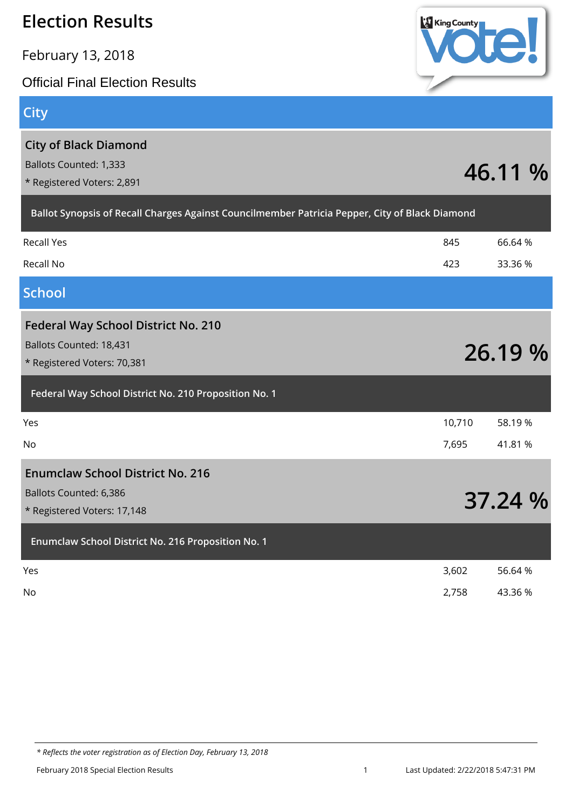February 13, 2018

Official Final Election Results

## **City**

| <b>City of Black Diamond</b><br><b>Ballots Counted: 1,333</b><br>* Registered Voters: 2,891          |        | 46.11 % |
|------------------------------------------------------------------------------------------------------|--------|---------|
| Ballot Synopsis of Recall Charges Against Councilmember Patricia Pepper, City of Black Diamond       |        |         |
| <b>Recall Yes</b>                                                                                    | 845    | 66.64%  |
| Recall No                                                                                            | 423    | 33.36 % |
| <b>School</b>                                                                                        |        |         |
| <b>Federal Way School District No. 210</b><br>Ballots Counted: 18,431<br>* Registered Voters: 70,381 |        | 26.19 % |
| Federal Way School District No. 210 Proposition No. 1                                                |        |         |
| Yes                                                                                                  | 10,710 | 58.19%  |
| No                                                                                                   | 7,695  | 41.81 % |
| <b>Enumclaw School District No. 216</b><br>Ballots Counted: 6,386<br>* Registered Voters: 17,148     |        | 37.24 % |
| Enumclaw School District No. 216 Proposition No. 1                                                   |        |         |
| Yes                                                                                                  | 3,602  | 56.64 % |
| No                                                                                                   | 2,758  | 43.36 % |

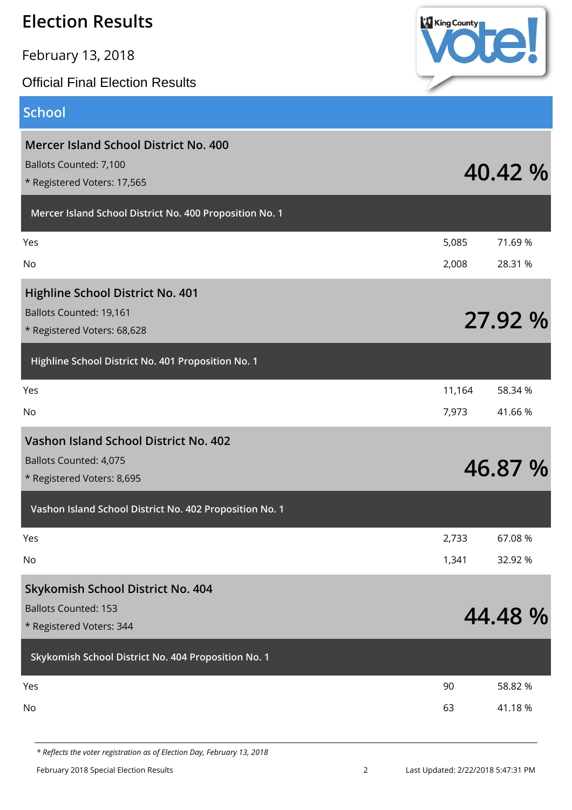| <b>Election Results</b>                                                                               | <b>King County</b> |                   |
|-------------------------------------------------------------------------------------------------------|--------------------|-------------------|
| February 13, 2018                                                                                     |                    |                   |
| <b>Official Final Election Results</b>                                                                |                    |                   |
| <b>School</b>                                                                                         |                    |                   |
| <b>Mercer Island School District No. 400</b><br>Ballots Counted: 7,100<br>* Registered Voters: 17,565 |                    | 40.42 %           |
| Mercer Island School District No. 400 Proposition No. 1                                               |                    |                   |
| Yes<br>No                                                                                             | 5,085<br>2,008     | 71.69%<br>28.31 % |
| <b>Highline School District No. 401</b><br>Ballots Counted: 19,161<br>* Registered Voters: 68,628     |                    | 27.92 %           |
| Highline School District No. 401 Proposition No. 1                                                    |                    |                   |
| Yes<br><b>No</b>                                                                                      | 11,164<br>7,973    | 58.34 %<br>41.66% |
| Vashon Island School District No. 402<br><b>Ballots Counted: 4,075</b><br>* Registered Voters: 8,695  |                    | 46.87 %           |
| Vashon Island School District No. 402 Proposition No. 1                                               |                    |                   |
| Yes<br>No                                                                                             | 2,733<br>1,341     | 67.08%<br>32.92 % |
| Skykomish School District No. 404<br><b>Ballots Counted: 153</b><br>* Registered Voters: 344          |                    | 44.48 %           |
| Skykomish School District No. 404 Proposition No. 1                                                   |                    |                   |
| Yes<br>No                                                                                             | 90<br>63           | 58.82 %<br>41.18% |
|                                                                                                       |                    |                   |

*<sup>\*</sup> Reflects the voter registration as of Election Day, February 13, 2018*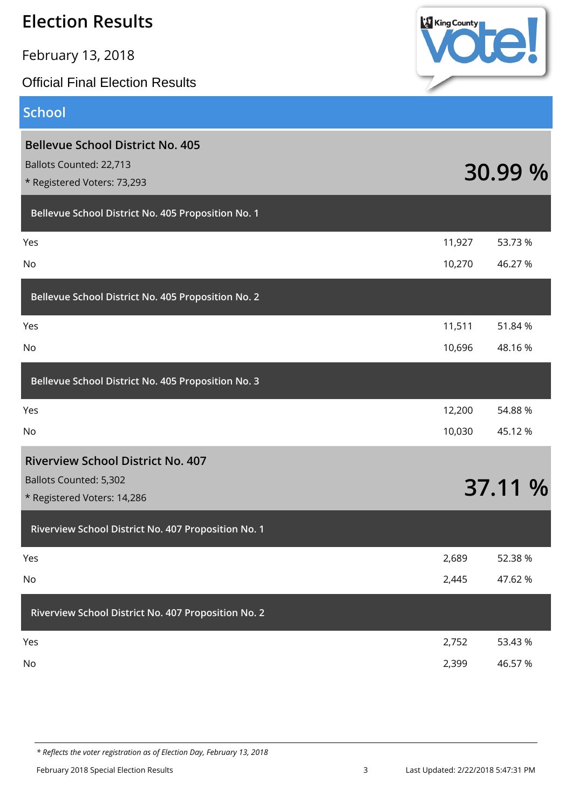February 13, 2018

Official Final Election Results

# **King County**

#### **School**

| <b>Bellevue School District No. 405</b><br>Ballots Counted: 22,713<br>* Registered Voters: 73,293 |        | 30.99 % |
|---------------------------------------------------------------------------------------------------|--------|---------|
| Bellevue School District No. 405 Proposition No. 1                                                |        |         |
| Yes                                                                                               | 11,927 | 53.73 % |
| No                                                                                                | 10,270 | 46.27 % |
| Bellevue School District No. 405 Proposition No. 2                                                |        |         |
| Yes                                                                                               | 11,511 | 51.84 % |
| No                                                                                                | 10,696 | 48.16%  |
| Bellevue School District No. 405 Proposition No. 3                                                |        |         |
| Yes                                                                                               | 12,200 | 54.88 % |
| No                                                                                                | 10,030 | 45.12 % |
| <b>Riverview School District No. 407</b><br>Ballots Counted: 5,302<br>* Registered Voters: 14,286 |        | 37.11 % |
| Riverview School District No. 407 Proposition No. 1                                               |        |         |
| Yes                                                                                               | 2,689  | 52.38 % |
| No                                                                                                | 2,445  | 47.62 % |
| Riverview School District No. 407 Proposition No. 2                                               |        |         |
| Yes                                                                                               | 2,752  | 53.43 % |
| No                                                                                                | 2,399  | 46.57 % |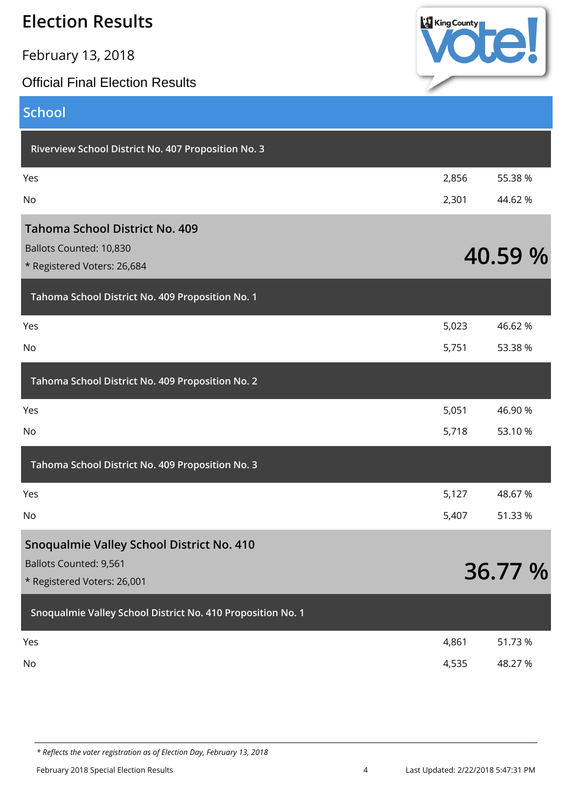February 13, 2018

#### Official Final Election Results



| <b>School</b>                                               |       |         |
|-------------------------------------------------------------|-------|---------|
| Riverview School District No. 407 Proposition No. 3         |       |         |
| Yes                                                         | 2,856 | 55.38 % |
| No                                                          | 2,301 | 44.62 % |
| <b>Tahoma School District No. 409</b>                       |       |         |
| Ballots Counted: 10,830                                     |       | 40.59 % |
| * Registered Voters: 26,684                                 |       |         |
| Tahoma School District No. 409 Proposition No. 1            |       |         |
| Yes                                                         | 5,023 | 46.62%  |
| No                                                          | 5,751 | 53.38 % |
| Tahoma School District No. 409 Proposition No. 2            |       |         |
| Yes                                                         | 5,051 | 46.90 % |
| No                                                          | 5,718 | 53.10 % |
| Tahoma School District No. 409 Proposition No. 3            |       |         |
| Yes                                                         | 5,127 | 48.67%  |
| No                                                          | 5,407 | 51.33 % |
| Snoqualmie Valley School District No. 410                   |       |         |
| <b>Ballots Counted: 9,561</b>                               |       | 36.77 % |
| * Registered Voters: 26,001                                 |       |         |
| Snoqualmie Valley School District No. 410 Proposition No. 1 |       |         |
| Yes                                                         | 4,861 | 51.73 % |
| No                                                          | 4,535 | 48.27 % |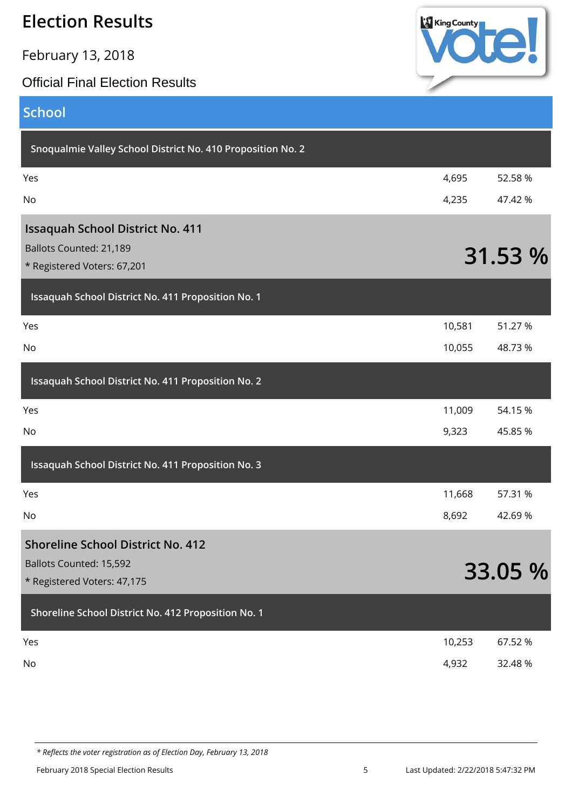February 13, 2018

#### Official Final Election Results



#### **School**

| Snoqualmie Valley School District No. 410 Proposition No. 2 |        |         |
|-------------------------------------------------------------|--------|---------|
| Yes                                                         | 4,695  | 52.58 % |
| No                                                          | 4,235  | 47.42 % |
| <b>Issaquah School District No. 411</b>                     |        |         |
| Ballots Counted: 21,189<br>* Registered Voters: 67,201      |        | 31.53 % |
| Issaquah School District No. 411 Proposition No. 1          |        |         |
| Yes                                                         | 10,581 | 51.27 % |
| No                                                          | 10,055 | 48.73%  |
| Issaquah School District No. 411 Proposition No. 2          |        |         |
| Yes                                                         | 11,009 | 54.15 % |
| No                                                          | 9,323  | 45.85 % |
| Issaquah School District No. 411 Proposition No. 3          |        |         |
| Yes                                                         | 11,668 | 57.31 % |
| No                                                          | 8,692  | 42.69%  |
| <b>Shoreline School District No. 412</b>                    |        |         |
| Ballots Counted: 15,592                                     |        | 33.05 % |
| * Registered Voters: 47,175                                 |        |         |
| Shoreline School District No. 412 Proposition No. 1         |        |         |
| Yes                                                         | 10,253 | 67.52 % |
| No                                                          | 4,932  | 32.48 % |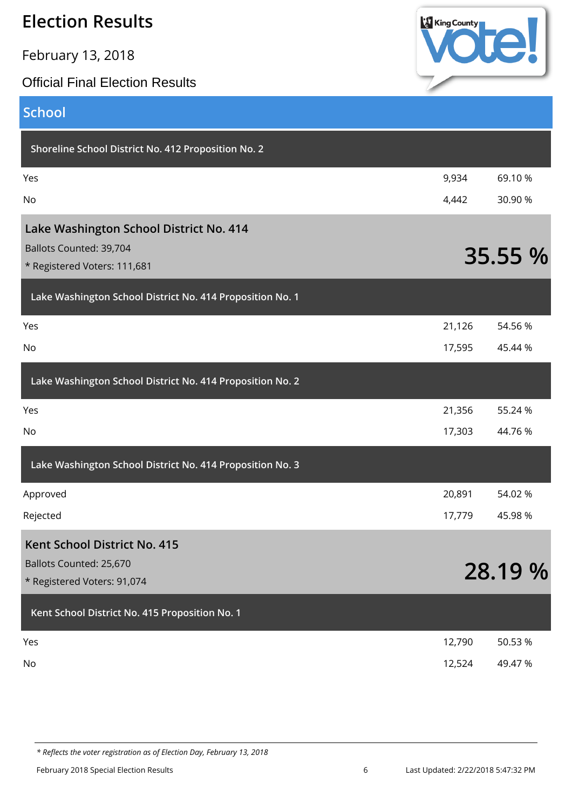February 13, 2018

#### Official Final Election Results



| <b>School</b>                                             |        |         |
|-----------------------------------------------------------|--------|---------|
| Shoreline School District No. 412 Proposition No. 2       |        |         |
| Yes                                                       | 9,934  | 69.10%  |
| No                                                        | 4,442  | 30.90 % |
| Lake Washington School District No. 414                   |        |         |
| Ballots Counted: 39,704                                   |        | 35.55 % |
| * Registered Voters: 111,681                              |        |         |
| Lake Washington School District No. 414 Proposition No. 1 |        |         |
| Yes                                                       | 21,126 | 54.56 % |
| No                                                        | 17,595 | 45.44 % |
| Lake Washington School District No. 414 Proposition No. 2 |        |         |
| Yes                                                       | 21,356 | 55.24 % |
| No                                                        | 17,303 | 44.76 % |
| Lake Washington School District No. 414 Proposition No. 3 |        |         |
| Approved                                                  | 20,891 | 54.02 % |
| Rejected                                                  | 17,779 | 45.98%  |
| <b>Kent School District No. 415</b>                       |        |         |
| Ballots Counted: 25,670                                   |        | 28.19 % |
| * Registered Voters: 91,074                               |        |         |
| Kent School District No. 415 Proposition No. 1            |        |         |
| Yes                                                       | 12,790 | 50.53 % |
| No                                                        | 12,524 | 49.47%  |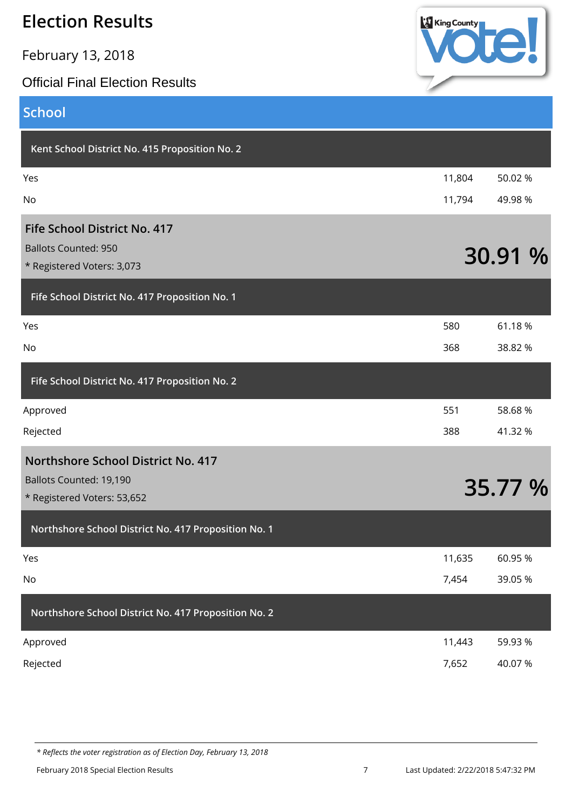February 13, 2018

#### Official Final Election Results



## **School**

| Kent School District No. 415 Proposition No. 2            |        |         |
|-----------------------------------------------------------|--------|---------|
| Yes                                                       | 11,804 | 50.02 % |
| No                                                        | 11,794 | 49.98 % |
| Fife School District No. 417                              |        |         |
| <b>Ballots Counted: 950</b><br>* Registered Voters: 3,073 |        | 30.91 % |
| Fife School District No. 417 Proposition No. 1            |        |         |
| Yes                                                       | 580    | 61.18%  |
| No                                                        | 368    | 38.82 % |
| Fife School District No. 417 Proposition No. 2            |        |         |
| Approved                                                  | 551    | 58.68%  |
| Rejected                                                  | 388    | 41.32 % |
| Northshore School District No. 417                        |        |         |
| Ballots Counted: 19,190<br>* Registered Voters: 53,652    |        | 35.77 % |
| Northshore School District No. 417 Proposition No. 1      |        |         |
| Yes                                                       | 11,635 | 60.95%  |
| No                                                        | 7,454  | 39.05 % |
| Northshore School District No. 417 Proposition No. 2      |        |         |
| Approved                                                  | 11,443 | 59.93 % |

Rejected 7,652 40.07 %